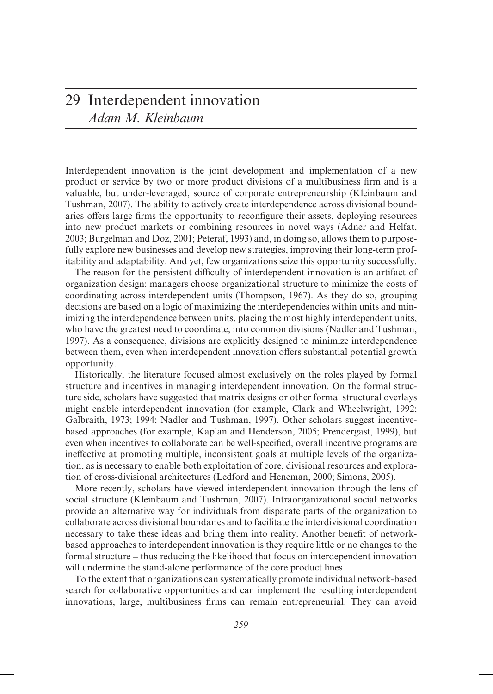## 29 Interdependent innovation *Adam M. Kleinbaum*

Interdependent innovation is the joint development and implementation of a new product or service by two or more product divisions of a multibusiness firm and is a valuable, but under-leveraged, source of corporate entrepreneurship (Kleinbaum and Tushman, 2007). The ability to actively create interdependence across divisional boundaries offers large firms the opportunity to reconfigure their assets, deploying resources into new product markets or combining resources in novel ways (Adner and Helfat, 2003; Burgelman and Doz, 2001; Peteraf, 1993) and, in doing so, allows them to purposefully explore new businesses and develop new strategies, improving their long-term profitability and adaptability. And yet, few organizations seize this opportunity successfully.

The reason for the persistent difficulty of interdependent innovation is an artifact of organization design: managers choose organizational structure to minimize the costs of coordinating across interdependent units (Thompson, 1967). As they do so, grouping decisions are based on a logic of maximizing the interdependencies within units and minimizing the interdependence between units, placing the most highly interdependent units, who have the greatest need to coordinate, into common divisions (Nadler and Tushman, 1997). As a consequence, divisions are explicitly designed to minimize interdependence between them, even when interdependent innovation offers substantial potential growth opportunity.

Historically, the literature focused almost exclusively on the roles played by formal structure and incentives in managing interdependent innovation. On the formal structure side, scholars have suggested that matrix designs or other formal structural overlays might enable interdependent innovation (for example, Clark and Wheelwright, 1992; Galbraith, 1973; 1994; Nadler and Tushman, 1997). Other scholars suggest incentivebased approaches (for example, Kaplan and Henderson, 2005; Prendergast, 1999), but even when incentives to collaborate can be well-specified, overall incentive programs are ineffective at promoting multiple, inconsistent goals at multiple levels of the organization, as is necessary to enable both exploitation of core, divisional resources and exploration of cross-divisional architectures (Ledford and Heneman, 2000; Simons, 2005).

More recently, scholars have viewed interdependent innovation through the lens of social structure (Kleinbaum and Tushman, 2007). Intraorganizational social networks provide an alternative way for individuals from disparate parts of the organization to collaborate across divisional boundaries and to facilitate the interdivisional coordination necessary to take these ideas and bring them into reality. Another benefit of networkbased approaches to interdependent innovation is they require little or no changes to the formal structure – thus reducing the likelihood that focus on interdependent innovation will undermine the stand-alone performance of the core product lines.

To the extent that organizations can systematically promote individual network-based search for collaborative opportunities and can implement the resulting interdependent innovations, large, multibusiness firms can remain entrepreneurial. They can avoid